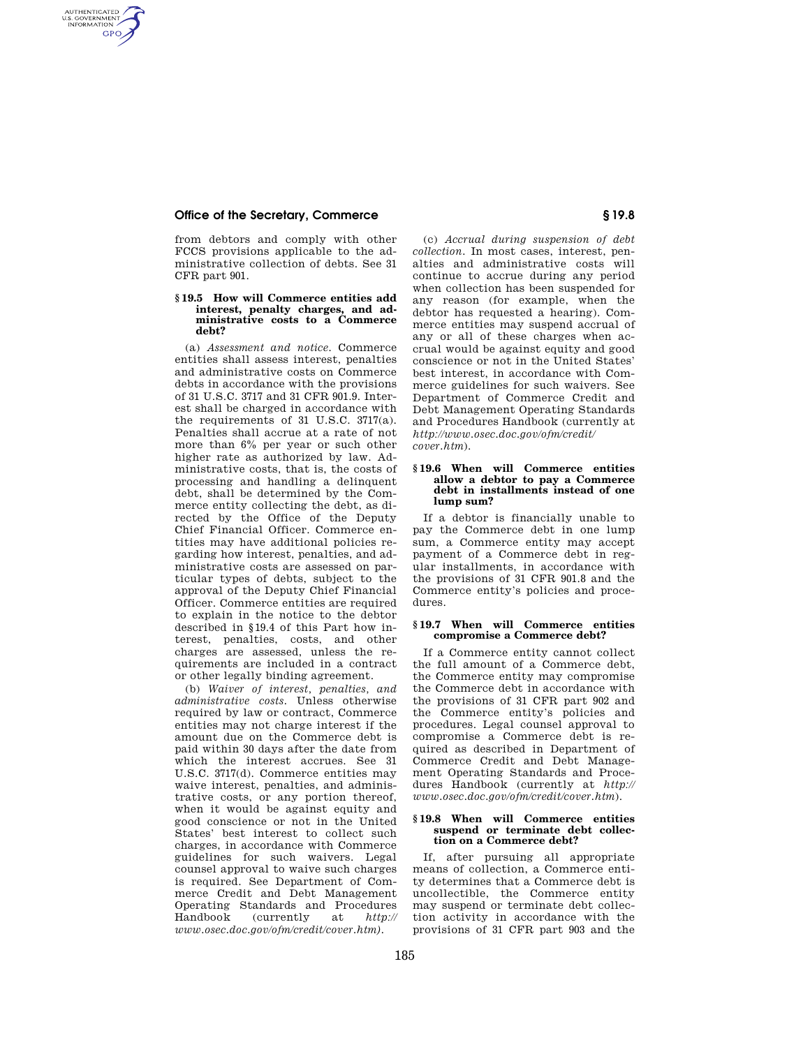# **Office of the Secretary, Commerce § 19.8**

AUTHENTICATED<br>U.S. GOVERNMENT<br>INFORMATION **GPO** 

> from debtors and comply with other FCCS provisions applicable to the administrative collection of debts. See 31 CFR part 901.

### **§ 19.5 How will Commerce entities add interest, penalty charges, and administrative costs to a Commerce debt?**

(a) *Assessment and notice.* Commerce entities shall assess interest, penalties and administrative costs on Commerce debts in accordance with the provisions of 31 U.S.C. 3717 and 31 CFR 901.9. Interest shall be charged in accordance with the requirements of 31 U.S.C. 3717(a). Penalties shall accrue at a rate of not more than 6% per year or such other higher rate as authorized by law. Administrative costs, that is, the costs of processing and handling a delinquent debt, shall be determined by the Commerce entity collecting the debt, as directed by the Office of the Deputy Chief Financial Officer. Commerce entities may have additional policies regarding how interest, penalties, and administrative costs are assessed on particular types of debts, subject to the approval of the Deputy Chief Financial Officer. Commerce entities are required to explain in the notice to the debtor described in §19.4 of this Part how interest, penalties, costs, and other charges are assessed, unless the requirements are included in a contract or other legally binding agreement.

(b) *Waiver of interest, penalties, and administrative costs.* Unless otherwise required by law or contract, Commerce entities may not charge interest if the amount due on the Commerce debt is paid within 30 days after the date from which the interest accrues. See 31 U.S.C. 3717(d). Commerce entities may waive interest, penalties, and administrative costs, or any portion thereof, when it would be against equity and good conscience or not in the United States' best interest to collect such charges, in accordance with Commerce guidelines for such waivers. Legal counsel approval to waive such charges is required. See Department of Commerce Credit and Debt Management Operating Standards and Procedures Handbook (currently at *http:// www.osec.doc.gov/ofm/credit/cover.htm).* 

(c) *Accrual during suspension of debt collection.* In most cases, interest, penalties and administrative costs will continue to accrue during any period when collection has been suspended for any reason (for example, when the debtor has requested a hearing). Commerce entities may suspend accrual of any or all of these charges when accrual would be against equity and good conscience or not in the United States' best interest, in accordance with Commerce guidelines for such waivers. See Department of Commerce Credit and Debt Management Operating Standards and Procedures Handbook (currently at *http://www.osec.doc.gov/ofm/credit/ cover.htm*).

# **§ 19.6 When will Commerce entities allow a debtor to pay a Commerce debt in installments instead of one lump sum?**

If a debtor is financially unable to pay the Commerce debt in one lump sum, a Commerce entity may accept payment of a Commerce debt in regular installments, in accordance with the provisions of 31 CFR 901.8 and the Commerce entity's policies and procedures.

### **§ 19.7 When will Commerce entities compromise a Commerce debt?**

If a Commerce entity cannot collect the full amount of a Commerce debt, the Commerce entity may compromise the Commerce debt in accordance with the provisions of 31 CFR part 902 and the Commerce entity's policies and procedures. Legal counsel approval to compromise a Commerce debt is required as described in Department of Commerce Credit and Debt Management Operating Standards and Procedures Handbook (currently at *http:// www.osec.doc.gov/ofm/credit/cover.htm*).

#### **§ 19.8 When will Commerce entities suspend or terminate debt collection on a Commerce debt?**

If, after pursuing all appropriate means of collection, a Commerce entity determines that a Commerce debt is uncollectible, the Commerce entity may suspend or terminate debt collection activity in accordance with the provisions of 31 CFR part 903 and the